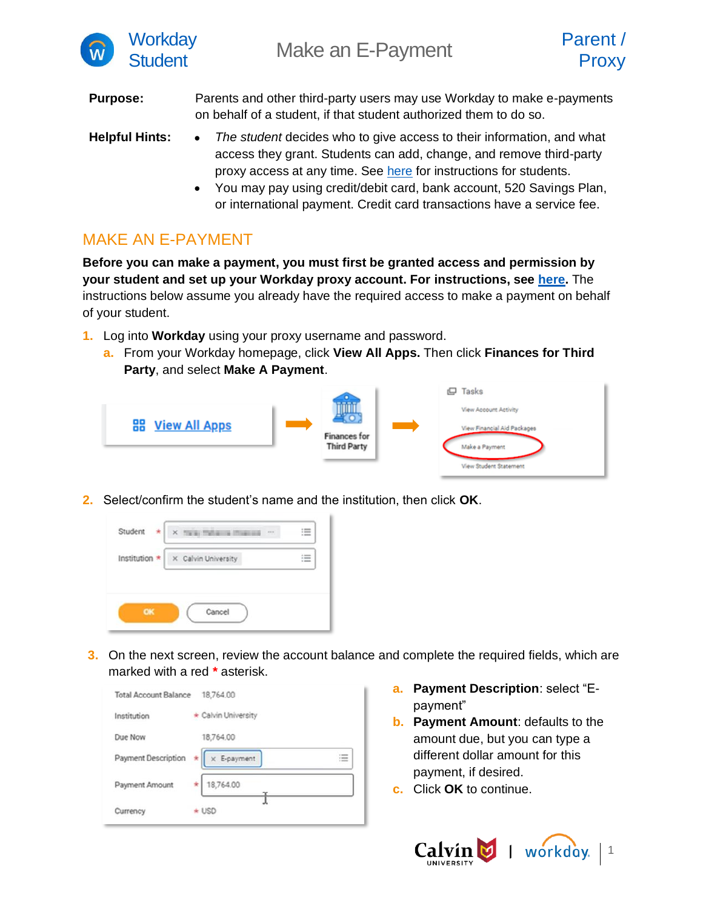

**Purpose:** Parents and other third-party users may use Workday to make e-payments on behalf of a student, if that student authorized them to do so.

- **Helpful Hints:** *The student* decides who to give access to their information, and what access they grant. Students can add, change, and remove third-party proxy access at any time. See [here](https://calvin.edu/offices-services/information-technology/workday/manage-third-party-proxy-access.pdf) for instructions for students.
	- You may pay using credit/debit card, bank account, 520 Savings Plan, or international payment. Credit card transactions have a service fee.

## MAKE AN E-PAYMENT

**Before you can make a payment, you must first be granted access and permission by your student and set up your Workday proxy account. For instructions, see [here.](https://calvin.edu/offices-services/information-technology/workday/parent-proxy.pdf)** The instructions below assume you already have the required access to make a payment on behalf of your student.

- **1.** Log into **Workday** using your proxy username and password.
	- **a.** From your Workday homepage, click **View All Apps.** Then click **Finances for Third Party**, and select **Make A Payment**.



**2.** Select/confirm the student's name and the institution, then click **OK**.



**3.** On the next screen, review the account balance and complete the required fields, which are marked with a red **\*** asterisk.



- **a. Payment Description**: select "Epayment"
- **b. Payment Amount**: defaults to the amount due, but you can type a different dollar amount for this payment, if desired.
- **c.** Click **OK** to continue.